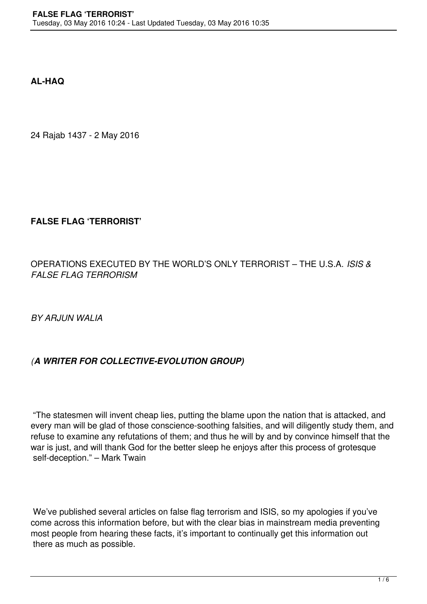**AL-HAQ**

24 Rajab 1437 - 2 May 2016

## **FALSE FLAG 'TERRORIST'**

OPERATIONS EXECUTED BY THE WORLD'S ONLY TERRORIST – THE U.S.A. *ISIS & FALSE FLAG TERRORISM*

*BY ARJUN WALIA*

## *(A WRITER FOR COLLECTIVE-EVOLUTION GROUP)*

 "The statesmen will invent cheap lies, putting the blame upon the nation that is attacked, and every man will be glad of those conscience-soothing falsities, and will diligently study them, and refuse to examine any refutations of them; and thus he will by and by convince himself that the war is just, and will thank God for the better sleep he enjoys after this process of grotesque self-deception." – Mark Twain

 We've published several articles on false flag terrorism and ISIS, so my apologies if you've come across this information before, but with the clear bias in mainstream media preventing most people from hearing these facts, it's important to continually get this information out there as much as possible.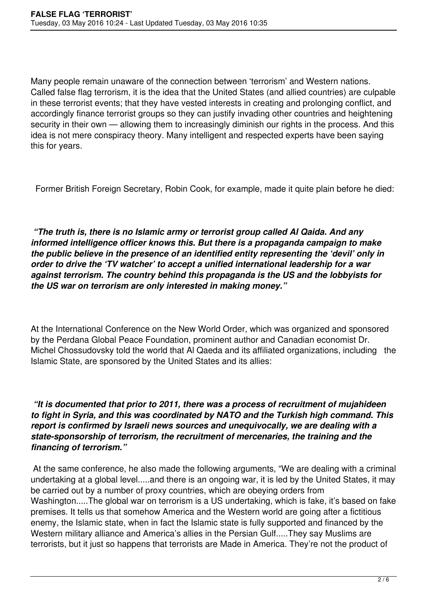Many people remain unaware of the connection between 'terrorism' and Western nations. Called false flag terrorism, it is the idea that the United States (and allied countries) are culpable in these terrorist events; that they have vested interests in creating and prolonging conflict, and accordingly finance terrorist groups so they can justify invading other countries and heightening security in their own — allowing them to increasingly diminish our rights in the process. And this idea is not mere conspiracy theory. Many intelligent and respected experts have been saying this for years.

Former British Foreign Secretary, Robin Cook, for example, made it quite plain before he died:

 *"The truth is, there is no Islamic army or terrorist group called Al Qaida. And any informed intelligence officer knows this. But there is a propaganda campaign to make the public believe in the presence of an identified entity representing the 'devil' only in order to drive the 'TV watcher' to accept a unified international leadership for a war against terrorism. The country behind this propaganda is the US and the lobbyists for the US war on terrorism are only interested in making money."*

At the International Conference on the New World Order, which was organized and sponsored by the Perdana Global Peace Foundation, prominent author and Canadian economist Dr. Michel Chossudovsky told the world that Al Qaeda and its affiliated organizations, including the Islamic State, are sponsored by the United States and its allies:

 *"It is documented that prior to 2011, there was a process of recruitment of mujahideen to fight in Syria, and this was coordinated by NATO and the Turkish high command. This report is confirmed by Israeli news sources and unequivocally, we are dealing with a state-sponsorship of terrorism, the recruitment of mercenaries, the training and the financing of terrorism."*

 At the same conference, he also made the following arguments, "We are dealing with a criminal undertaking at a global level.....and there is an ongoing war, it is led by the United States, it may be carried out by a number of proxy countries, which are obeying orders from Washington.....The global war on terrorism is a US undertaking, which is fake, it's based on fake premises. It tells us that somehow America and the Western world are going after a fictitious enemy, the Islamic state, when in fact the Islamic state is fully supported and financed by the Western military alliance and America's allies in the Persian Gulf.....They say Muslims are terrorists, but it just so happens that terrorists are Made in America. They're not the product of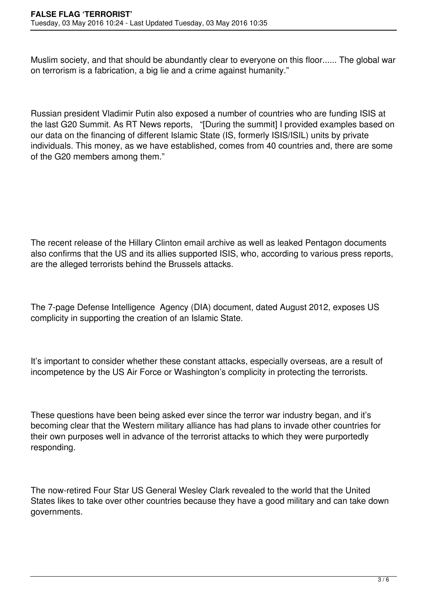Muslim society, and that should be abundantly clear to everyone on this floor...... The global war on terrorism is a fabrication, a big lie and a crime against humanity."

Russian president Vladimir Putin also exposed a number of countries who are funding ISIS at the last G20 Summit. As RT News reports, "[During the summit] I provided examples based on our data on the financing of different Islamic State (IS, formerly ISIS/ISIL) units by private individuals. This money, as we have established, comes from 40 countries and, there are some of the G20 members among them."

The recent release of the Hillary Clinton email archive as well as leaked Pentagon documents also confirms that the US and its allies supported ISIS, who, according to various press reports, are the alleged terrorists behind the Brussels attacks.

The 7-page Defense Intelligence Agency (DIA) document, dated August 2012, exposes US complicity in supporting the creation of an Islamic State.

It's important to consider whether these constant attacks, especially overseas, are a result of incompetence by the US Air Force or Washington's complicity in protecting the terrorists.

These questions have been being asked ever since the terror war industry began, and it's becoming clear that the Western military alliance has had plans to invade other countries for their own purposes well in advance of the terrorist attacks to which they were purportedly responding.

The now-retired Four Star US General Wesley Clark revealed to the world that the United States likes to take over other countries because they have a good military and can take down governments.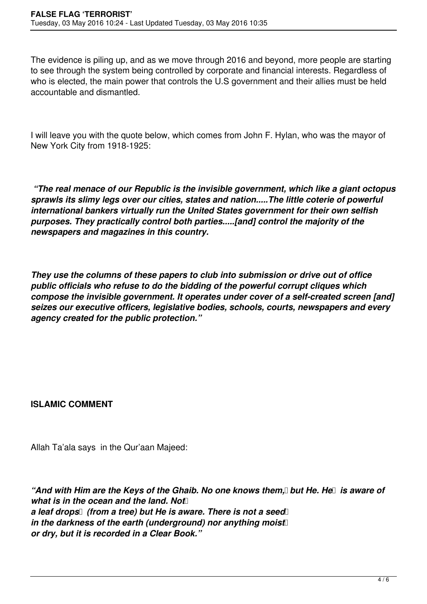The evidence is piling up, and as we move through 2016 and beyond, more people are starting to see through the system being controlled by corporate and financial interests. Regardless of who is elected, the main power that controls the U.S government and their allies must be held accountable and dismantled.

I will leave you with the quote below, which comes from John F. Hylan, who was the mayor of New York City from 1918-1925:

 *"The real menace of our Republic is the invisible government, which like a giant octopus sprawls its slimy legs over our cities, states and nation.....The little coterie of powerful international bankers virtually run the United States government for their own selfish purposes. They practically control both parties.....[and] control the majority of the newspapers and magazines in this country.*

*They use the columns of these papers to club into submission or drive out of office public officials who refuse to do the bidding of the powerful corrupt cliques which compose the invisible government. It operates under cover of a self-created screen [and] seizes our executive officers, legislative bodies, schools, courts, newspapers and every agency created for the public protection."*

**ISLAMIC COMMENT**

Allah Ta'ala says in the Qur'aan Majeed:

*"And with Him are the Keys of the Ghaib. No one knows them*, *but He. He is aware of what is in the ocean and the land. Not* a leaf drops (from a tree) but He is aware. There is not a seed *in the darkness of the earth (underground) nor anything moist or dry, but it is recorded in a Clear Book."*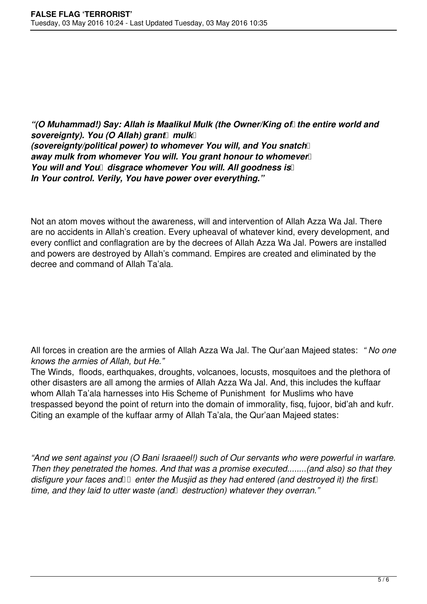## *"*(O Muhammad!) Say: Allah is Maalikul Mulk (the Owner/King of the entire world and *sovereignty). You (O Allah) grant mulk (sovereignty/political power) to whomever You will, and You snatch*  away mulk from whomever You will. You grant honour to whomever *You will and You* disgrace whomever You will. All goodness is *In Your control. Verily, You have power over everything."*

Not an atom moves without the awareness, will and intervention of Allah Azza Wa Jal. There are no accidents in Allah's creation. Every upheaval of whatever kind, every development, and every conflict and conflagration are by the decrees of Allah Azza Wa Jal. Powers are installed and powers are destroyed by Allah's command. Empires are created and eliminated by the decree and command of Allah Ta'ala.

All forces in creation are the armies of Allah Azza Wa Jal. The Qur'aan Majeed states: *" No one knows the armies of Allah, but He."* 

The Winds, floods, earthquakes, droughts, volcanoes, locusts, mosquitoes and the plethora of other disasters are all among the armies of Allah Azza Wa Jal. And, this includes the kuffaar whom Allah Ta'ala harnesses into His Scheme of Punishment for Muslims who have trespassed beyond the point of return into the domain of immorality, fisq, fujoor, bid'ah and kufr. Citing an example of the kuffaar army of Allah Ta'ala, the Qur'aan Majeed states:

*"And we sent against you (O Bani Israaeel!) such of Our servants who were powerful in warfare. Then they penetrated the homes. And that was a promise executed........(and also) so that they disfigure your faces and P enter the Musjid as they had entered (and destroyed it) the first* time, and they laid to utter waste (and destruction) whatever they overran."